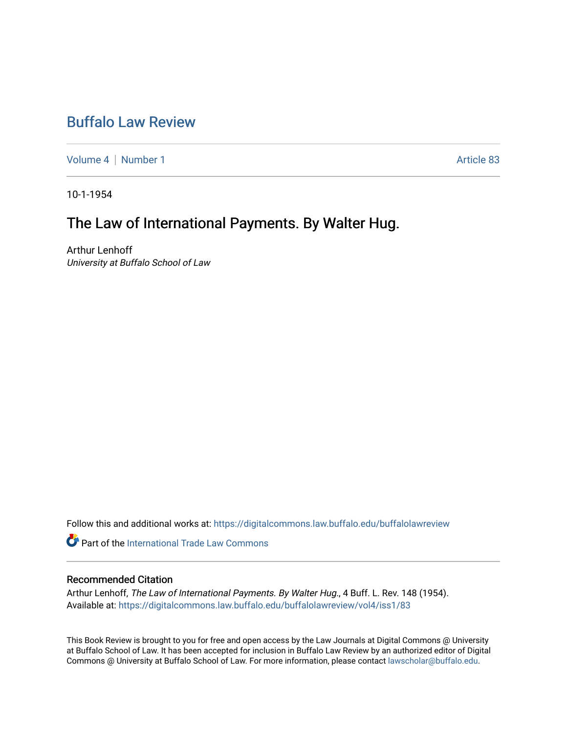## [Buffalo Law Review](https://digitalcommons.law.buffalo.edu/buffalolawreview)

[Volume 4](https://digitalcommons.law.buffalo.edu/buffalolawreview/vol4) | [Number 1](https://digitalcommons.law.buffalo.edu/buffalolawreview/vol4/iss1) Article 83

10-1-1954

## The Law of International Payments. By Walter Hug.

Arthur Lenhoff University at Buffalo School of Law

Follow this and additional works at: [https://digitalcommons.law.buffalo.edu/buffalolawreview](https://digitalcommons.law.buffalo.edu/buffalolawreview?utm_source=digitalcommons.law.buffalo.edu%2Fbuffalolawreview%2Fvol4%2Fiss1%2F83&utm_medium=PDF&utm_campaign=PDFCoverPages) 

**C** Part of the [International Trade Law Commons](http://network.bepress.com/hgg/discipline/848?utm_source=digitalcommons.law.buffalo.edu%2Fbuffalolawreview%2Fvol4%2Fiss1%2F83&utm_medium=PDF&utm_campaign=PDFCoverPages)

## Recommended Citation

Arthur Lenhoff, The Law of International Payments. By Walter Hug., 4 Buff. L. Rev. 148 (1954). Available at: [https://digitalcommons.law.buffalo.edu/buffalolawreview/vol4/iss1/83](https://digitalcommons.law.buffalo.edu/buffalolawreview/vol4/iss1/83?utm_source=digitalcommons.law.buffalo.edu%2Fbuffalolawreview%2Fvol4%2Fiss1%2F83&utm_medium=PDF&utm_campaign=PDFCoverPages) 

This Book Review is brought to you for free and open access by the Law Journals at Digital Commons @ University at Buffalo School of Law. It has been accepted for inclusion in Buffalo Law Review by an authorized editor of Digital Commons @ University at Buffalo School of Law. For more information, please contact [lawscholar@buffalo.edu](mailto:lawscholar@buffalo.edu).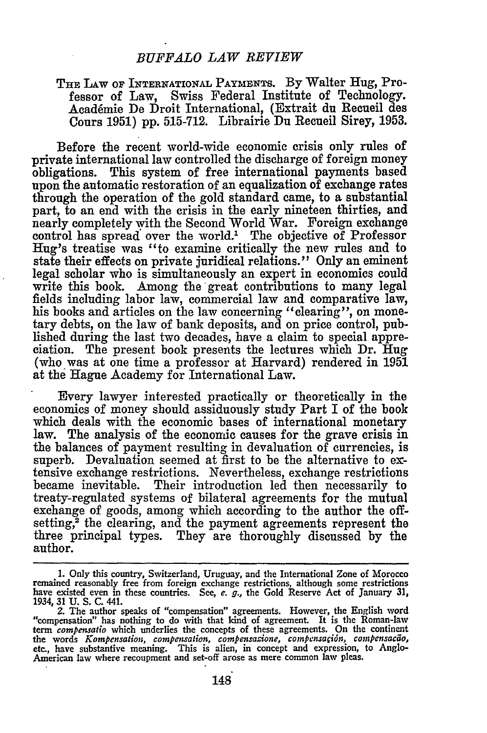## THE LAW OF INTERNATIONAL PAYMENTS. By Walter Hug, Professor of Law, Swiss Federal Institute of Technology. Acad6mie De Droit International, (Extrait du Recueil des Cours **1951) pp. 515-712.** Librairie Du Recueil Sirey, **1953.**

Before the recent world-wide economic crisis only rules of private international law controlled the discharge of foreign money obligations. This system of free international payments based upon the automatic restoration of an equalization of exchange rates through the operation of the gold standard came, to a substantial part, to an end with the crisis in the early nineteen thirties, and nearly completely with the Second World War. Foreign exchange control has spread over the world.' The objective of Professor Hug's treatise was "to examine critically the new rules and to state their effects on private juridical relations." Only an eminent legal scholar who is simultaneously an expert in economics could write this book. Among the great contributions to many legal fields including labor law, commercial law and comparative law, his books and articles on the law concerning "clearing", on monetary debts, on the law of bank deposits, and on price control, published during the last two decades, have a claim to special appreciation. The present book presents the lectures which Dr. Hug (who was at one time a professor at Harvard) rendered in **1951** at the Hague Academy for International Law.

Every lawyer interested practically or theoretically in the economics of money should assiduously study Part I of the book which deals with the economic bases of international monetary law. The analysis of the economic causes for the grave crisis in the balances of payment resulting in devaluation of currencies, is superb. Devaluation seemed at first to be the alternative to extensive exchange restrictions. Nevertheless, exchange restrictions became inevitable. Their introduction led then necessarily to treaty-regulated systems of bilateral agreements for the mutual exchange of goods, among which according to the author the offsetting,<sup>2</sup> the clearing, and the payment agreements represent the three principal types. They are thoroughly discussed **by** the author.

**<sup>1.</sup>** Only this country, Switzerland, Uruguay, and the International Zone of Morocco remained reasonably free from foreign exchange restrictions, although some restrictions have existed even in these countries. See, *e. g.,* the Gold Reserve Act of January **31,** 1934, 31 U. S. C. 441.

<sup>2.</sup> The author speaks of "compensation" agreements. However, the English word" compensation" has nothing to do with that kind of agreement. It is the Roman-law term *compensatio* which underlies the concepts of these agree the words *Kompensation, compensation, compensazione, compensaçión, compensacão*, etc., have substantive meaning. This is alien, in concept and expression, to Anglo-American law where recoupment and set-off arose as mere common law pleas.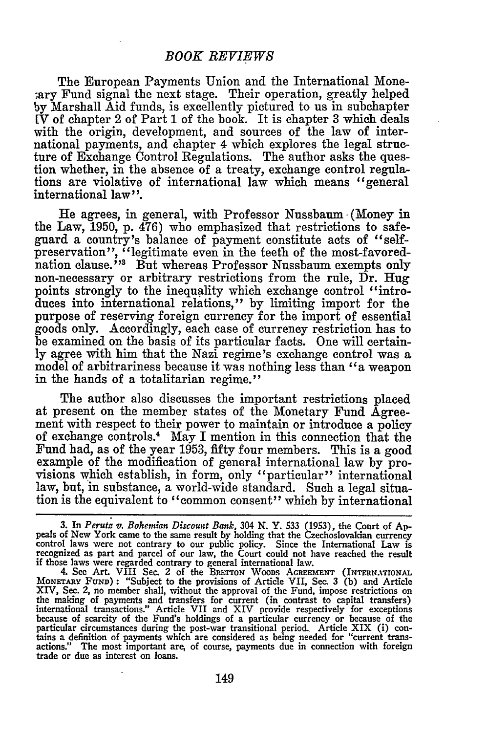The European Payments Union and the International Mone- ;ary Fund signal the next stage. Their operation, greatly helped by Marshall Aid funds, is excellently pictured to us in subchapter IV of chapter 2 of Part **1** of the book. It is chapter 3 which deals with the origin, development, and sources of the law of international payments, and chapter 4 which explores the legal structure of Exchange Control Regulations. The author asks the question whether, in the absence of a treaty, exchange control regulations are violative of international law which means "general international law".

He agrees, in general, with Professor Nussbaum (Money in the Law, 1950, p. 476) who emphasized that restrictions to safeguard a country's balance of payment constitute acts of "selfpreservation", "legitimate even in the teeth of the most-favorednation clause.<sup>53</sup> But whereas Professor Nussbaum exempts only non-necessary or arbitrary restrictions from the rule, Dr. Hug points strongly to the inequality which exchange control "introduces into international relations," by limiting import for the purpose of reserving foreign currency for the import of essential goods only. Accordingly, each case of currency restriction has to be examined on the basis of its particular facts. One will certainly agree with him that the Nazi regime's exchange control was a model of arbitrariness because it was nothing less than "a weapon in the hands of a totalitarian regime."

The author also discusses the important restrictions placed at present on the member states of the Monetary Fund Agreement with respect to their power to maintain or introduce a policy of exchange controls.4 May I mention in this connection that the Fund had, as of the year 1953, fifty four members. This is a good example of the modification of general international law by provisions which establish, in form, only "particular" international law, but, in substance, a world-wide standard. Such a legal situation is the equivalent to "common consent" which by international

<sup>3.</sup> In Perutz v. Bohemian Discount Bank, 304 N. Y. 533 (1953), the Court of Appeals of New York came to the same result by holding that the Czechoslovakian currency control laws were not contrary to our public policy. Since the International Law is recognized as part and parcel of our law, the Court could not have reached the result if those laws were regarded contrary to general international law. 4. See Art. VIII Sec. 2 of the BuErroN WOODs **AGREEMENT** (INTERNATIONAL

MONETARY FUND) **:** "Subject to the provisions of Article VII, Sec. 3 (b) and Article XIV, Sec. 2, no member shall, without the approval of the Fund, impose restrictions on the making of payments and transfers for current (in contrast to capital transfers) international transactions." Article VII and XIV provide respectively for exceptions because of scarcity of the Fund's holdings of a particular currency or because of the particular circumstances during the post-war transitional period. Article XIX (i) contains a definition of payments which are considered as being needed for "current transactions." The most important are, of course, payments due in connection with foreign trade or due as interest on loans.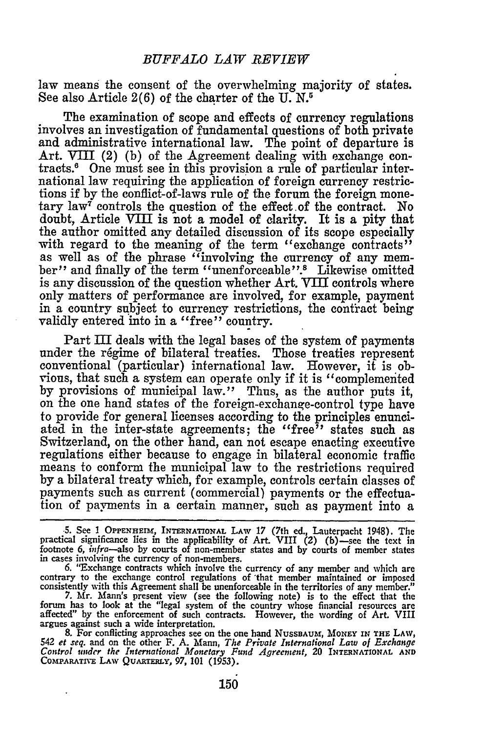law means the consent of the overwhelming majority of states. See also Article  $2(6)$  of the charter of the U.N.<sup>5</sup>

The examination of scope and effects of currency regulations involves an investigation of fundamental questions of both private and administrative international law. The point of departure is Art. VIII (2) (b) of the Agreement dealing with exchange contracts.6 One must see in this provision a rule of particular international law requiring the application of foreign currency restrictions if by the conflict-of-laws rule of the forum the foreign monetary law<sup> $\bar{r}$ </sup> controls the question of the effect of the contract. No doubt, Article VIII is not a model of clarity. It is a pity that the author omitted any detailed discussion of its scope especially with regard to the meaning of the term "exchange contracts" as well as of the phrase "involving the currency of any member" and finally of the term "unenforceable' **1'.** Likewise omitted is any discussion of the question whether Art. VIII controls where only matters of performance are involved, for example, payment in a country subject to currency restrictions, the contract being validly entered into in a "free" country.

Part III deals with the legal bases of the system of payments under the régime of bilateral treaties. Those treaties represent conventional (particular) international law. However, it is obvious, that such a system can operate only if it is "complemented by provisions of municipal law." Thus, as the author puts it, on the one hand states of the foreign-exchange-control type have to provide for general licenses according to the principles enunciated in the inter-state agreements; the "free" states such as Switzerland, on the other hand, can not escape enacting executive regulations either because to engage in bilateral economic traffic means to conform the municipal law to the restrictions required by a bilateral treaty which, for example, controls certain classes of payments such as current (commercial) payments or the effectuation of payments in a certain manner, such as payment into a

*-5.* See **I OPPENHEIM, INTERNATIONAL** LAW **17** (7th ed., Lauterpacht 1948). The practical significance lies in the applicability of Art. VIII **(2)** (b)-see the text in footnote **6,** *infra-also* **by** courts of non-member states and **by** courts of member states in cases involving the currency of non-members.

6. "Exchange contracts which involve the currency of any member and which are contrary to the exchange control regulations of 'that member maintained or imposed consistently with this Agreement shall be unenforceable in th

**7.** Mr. Mann's present view (see the following note) is to the effect that the forum has to look at the "legal system of the country whose financial resources are affected" **by** the enforcement of such contracts. However, the wording of Art. VIII argues against such a wide interpretation.

**8.** For conflicting approaches see on the one hand NusSBAUMr, *MONEY* **IN THE** LAw, <sup>542</sup>*et seq.* and on the other F. **A.** Mann, *The Private International Law of Exchange Control under the International Monetary Fund Agreement,* 20 INTERNATIONAL ANI<br>COMPARATIVE LAW QUARTERLY, 97, 101 (1953).